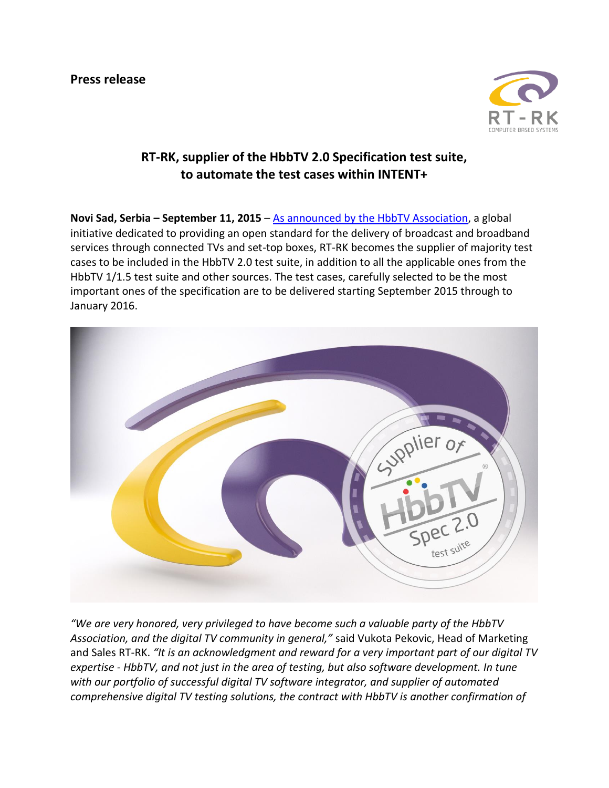

## **RT-RK, supplier of the HbbTV 2.0 Specification test suite, to automate the test cases within INTENT+**

**Novi Sad, Serbia – September 11, 2015** – [As announced by the HbbTV Association,](http://hbbtv.org/pages/news_events/pdf/HbbTV%20Announces%20Test%20Suite%20PR%20FINAL.pdf) a global initiative dedicated to providing an open standard for the delivery of broadcast and broadband services through connected TVs and set-top boxes, RT-RK becomes the supplier of majority test cases to be included in the HbbTV 2.0 test suite, in addition to all the applicable ones from the HbbTV 1/1.5 test suite and other sources. The test cases, carefully selected to be the most important ones of the specification are to be delivered starting September 2015 through to January 2016.



*"We are very honored, very privileged to have become such a valuable party of the HbbTV Association, and the digital TV community in general,"* said Vukota Pekovic, Head of Marketing and Sales RT-RK. *"It is an acknowledgment and reward for a very important part of our digital TV expertise - HbbTV, and not just in the area of testing, but also software development. In tune with our portfolio of successful digital TV software integrator, and supplier of automated comprehensive digital TV testing solutions, the contract with HbbTV is another confirmation of*